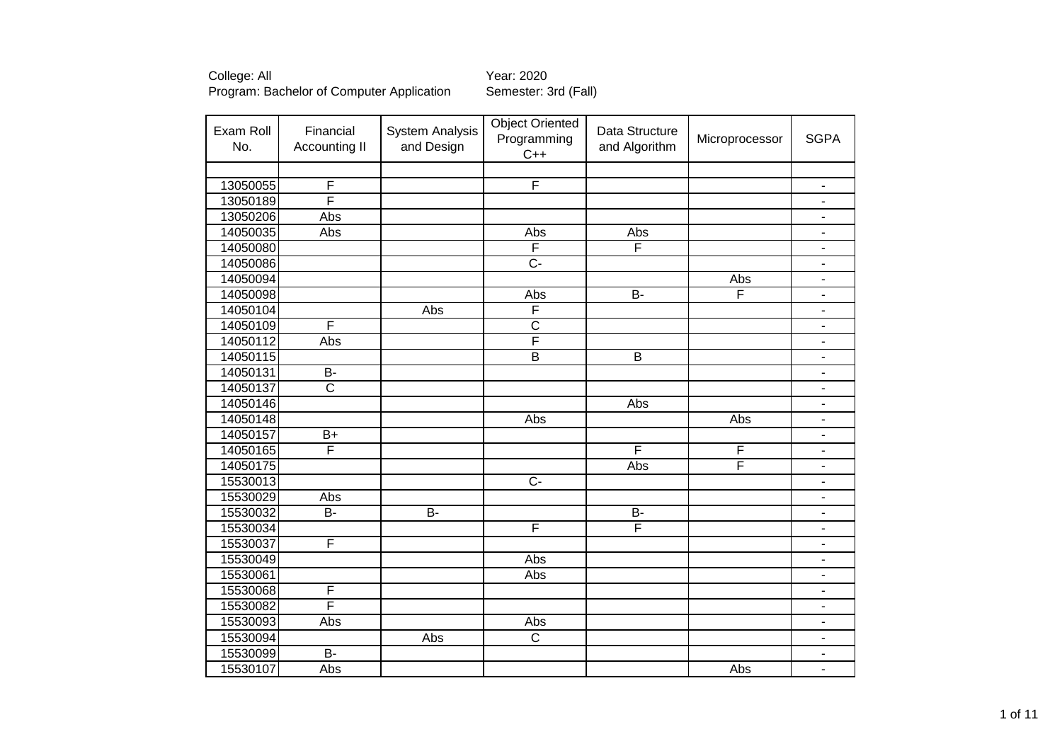| Exam Roll<br>No. | Financial<br><b>Accounting II</b> | <b>System Analysis</b><br>and Design | <b>Object Oriented</b><br>Programming<br>$C++$ | Data Structure<br>and Algorithm | Microprocessor | <b>SGPA</b>                  |
|------------------|-----------------------------------|--------------------------------------|------------------------------------------------|---------------------------------|----------------|------------------------------|
|                  |                                   |                                      |                                                |                                 |                |                              |
| 13050055         | F                                 |                                      | F                                              |                                 |                | $\blacksquare$               |
| 13050189         | F                                 |                                      |                                                |                                 |                | $\blacksquare$               |
| 13050206         | Abs                               |                                      |                                                |                                 |                | $\overline{\phantom{a}}$     |
| 14050035         | Abs                               |                                      | Abs                                            | Abs                             |                | $\qquad \qquad \blacksquare$ |
| 14050080         |                                   |                                      | F                                              | F                               |                | $\overline{\phantom{a}}$     |
| 14050086         |                                   |                                      | $\overline{C}$ -                               |                                 |                | $\overline{\phantom{a}}$     |
| 14050094         |                                   |                                      |                                                |                                 | Abs            | $\overline{\phantom{a}}$     |
| 14050098         |                                   |                                      | Abs                                            | $\overline{B}$                  | F              | $\overline{\phantom{a}}$     |
| 14050104         |                                   | Abs                                  | F                                              |                                 |                | $\blacksquare$               |
| 14050109         | F                                 |                                      | $\overline{\text{c}}$                          |                                 |                | $\overline{\phantom{a}}$     |
| 14050112         | Abs                               |                                      | F                                              |                                 |                | $\overline{\phantom{a}}$     |
| 14050115         |                                   |                                      | $\overline{\mathsf{B}}$                        | $\overline{B}$                  |                | $\blacksquare$               |
| 14050131         | $\overline{B}$                    |                                      |                                                |                                 |                | $\sim$                       |
| 14050137         | $\overline{\mathsf{c}}$           |                                      |                                                |                                 |                | $\blacksquare$               |
| 14050146         |                                   |                                      |                                                | Abs                             |                | $\overline{\phantom{a}}$     |
| 14050148         |                                   |                                      | Abs                                            |                                 | Abs            | $\overline{\phantom{a}}$     |
| 14050157         | $B+$                              |                                      |                                                |                                 |                | $\overline{\phantom{a}}$     |
| 14050165         | F                                 |                                      |                                                | F                               | F              | $\overline{\phantom{a}}$     |
| 14050175         |                                   |                                      |                                                | Abs                             | F              | $\blacksquare$               |
| 15530013         |                                   |                                      | $\overline{C}$                                 |                                 |                | $\overline{\phantom{a}}$     |
| 15530029         | Abs                               |                                      |                                                |                                 |                | $\blacksquare$               |
| 15530032         | $\overline{B}$                    | $\overline{B}$                       |                                                | $B -$                           |                | $\overline{\phantom{a}}$     |
| 15530034         |                                   |                                      | F                                              | F                               |                | $\overline{\phantom{a}}$     |
| 15530037         | F                                 |                                      |                                                |                                 |                | $\blacksquare$               |
| 15530049         |                                   |                                      | Abs                                            |                                 |                | $\blacksquare$               |
| 15530061         |                                   |                                      | Abs                                            |                                 |                | $\blacksquare$               |
| 15530068         | F                                 |                                      |                                                |                                 |                | $\blacksquare$               |
| 15530082         | F                                 |                                      |                                                |                                 |                | $\overline{\phantom{a}}$     |
| 15530093         | Abs                               |                                      | Abs                                            |                                 |                | $\overline{\phantom{a}}$     |
| 15530094         |                                   | Abs                                  | $\overline{\text{c}}$                          |                                 |                | $\overline{\phantom{a}}$     |
| 15530099         | $\overline{B}$                    |                                      |                                                |                                 |                | $\overline{\phantom{a}}$     |
| 15530107         | Abs                               |                                      |                                                |                                 | Abs            | $\overline{\phantom{a}}$     |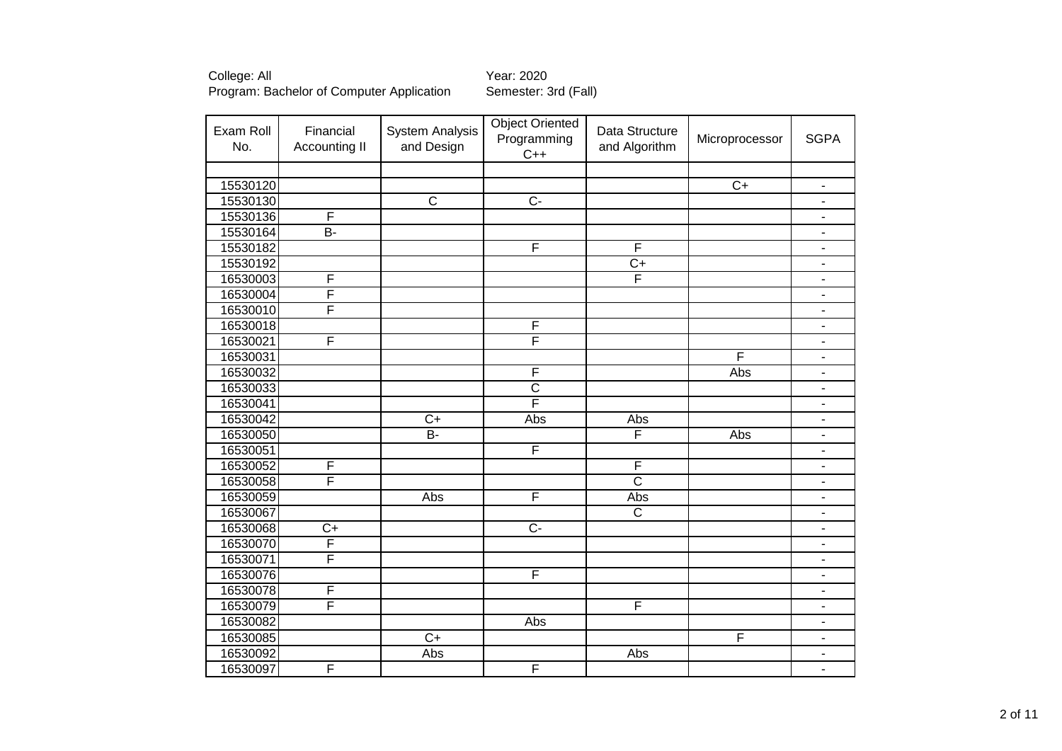| Exam Roll<br>No. | Financial<br><b>Accounting II</b> | <b>System Analysis</b><br>and Design | <b>Object Oriented</b><br>Programming<br>$C++$ | Data Structure<br>and Algorithm | Microprocessor  | <b>SGPA</b>              |
|------------------|-----------------------------------|--------------------------------------|------------------------------------------------|---------------------------------|-----------------|--------------------------|
|                  |                                   |                                      |                                                |                                 |                 |                          |
| 15530120         |                                   |                                      |                                                |                                 | $\overline{C+}$ | $\blacksquare$           |
| 15530130         |                                   | $\overline{\text{c}}$                | $\overline{C}$                                 |                                 |                 | $\overline{\phantom{a}}$ |
| 15530136         | F                                 |                                      |                                                |                                 |                 | $\overline{\phantom{a}}$ |
| 15530164         | $\overline{B}$ -                  |                                      |                                                |                                 |                 | $\overline{\phantom{0}}$ |
| 15530182         |                                   |                                      | F                                              | F                               |                 | ٠                        |
| 15530192         |                                   |                                      |                                                | $\overline{C}$                  |                 | -                        |
| 16530003         | F                                 |                                      |                                                | F                               |                 | $\blacksquare$           |
| 16530004         | F                                 |                                      |                                                |                                 |                 | $\blacksquare$           |
| 16530010         | F                                 |                                      |                                                |                                 |                 | -                        |
| 16530018         |                                   |                                      | F                                              |                                 |                 | $\overline{\phantom{0}}$ |
| 16530021         | F                                 |                                      | F                                              |                                 |                 | $\overline{\phantom{0}}$ |
| 16530031         |                                   |                                      |                                                |                                 | F               | $\overline{\phantom{0}}$ |
| 16530032         |                                   |                                      | F                                              |                                 | Abs             | $\overline{\phantom{a}}$ |
| 16530033         |                                   |                                      | $\overline{\text{c}}$                          |                                 |                 | $\blacksquare$           |
| 16530041         |                                   |                                      | F                                              |                                 |                 | $\blacksquare$           |
| 16530042         |                                   | $\overline{C+}$                      | Abs                                            | Abs                             |                 | $\overline{\phantom{0}}$ |
| 16530050         |                                   | $B -$                                |                                                | F                               | Abs             | $\blacksquare$           |
| 16530051         |                                   |                                      | F                                              |                                 |                 | $\overline{\phantom{0}}$ |
| 16530052         | $\overline{F}$                    |                                      |                                                | F                               |                 | $\overline{\phantom{0}}$ |
| 16530058         | F                                 |                                      |                                                | $\overline{\text{c}}$           |                 | $\overline{\phantom{0}}$ |
| 16530059         |                                   | Abs                                  | F                                              | Abs                             |                 | $\overline{\phantom{0}}$ |
| 16530067         |                                   |                                      |                                                | $\overline{\text{c}}$           |                 | $\overline{\phantom{0}}$ |
| 16530068         | $C+$                              |                                      | $C -$                                          |                                 |                 | $\blacksquare$           |
| 16530070         | $\overline{\mathsf{F}}$           |                                      |                                                |                                 |                 | $\overline{\phantom{0}}$ |
| 16530071         | $\overline{\mathsf{F}}$           |                                      |                                                |                                 |                 | ٠                        |
| 16530076         |                                   |                                      | F                                              |                                 |                 | ۰                        |
| 16530078         | $\overline{F}$                    |                                      |                                                |                                 |                 | $\overline{\phantom{a}}$ |
| 16530079         | $\overline{\mathsf{F}}$           |                                      |                                                | F                               |                 | $\overline{\phantom{a}}$ |
| 16530082         |                                   |                                      | Abs                                            |                                 |                 | $\blacksquare$           |
| 16530085         |                                   | $\overline{C+}$                      |                                                |                                 | F               | ٠                        |
| 16530092         |                                   | Abs                                  |                                                | Abs                             |                 | $\overline{\phantom{0}}$ |
| 16530097         | F                                 |                                      | F                                              |                                 |                 | $\blacksquare$           |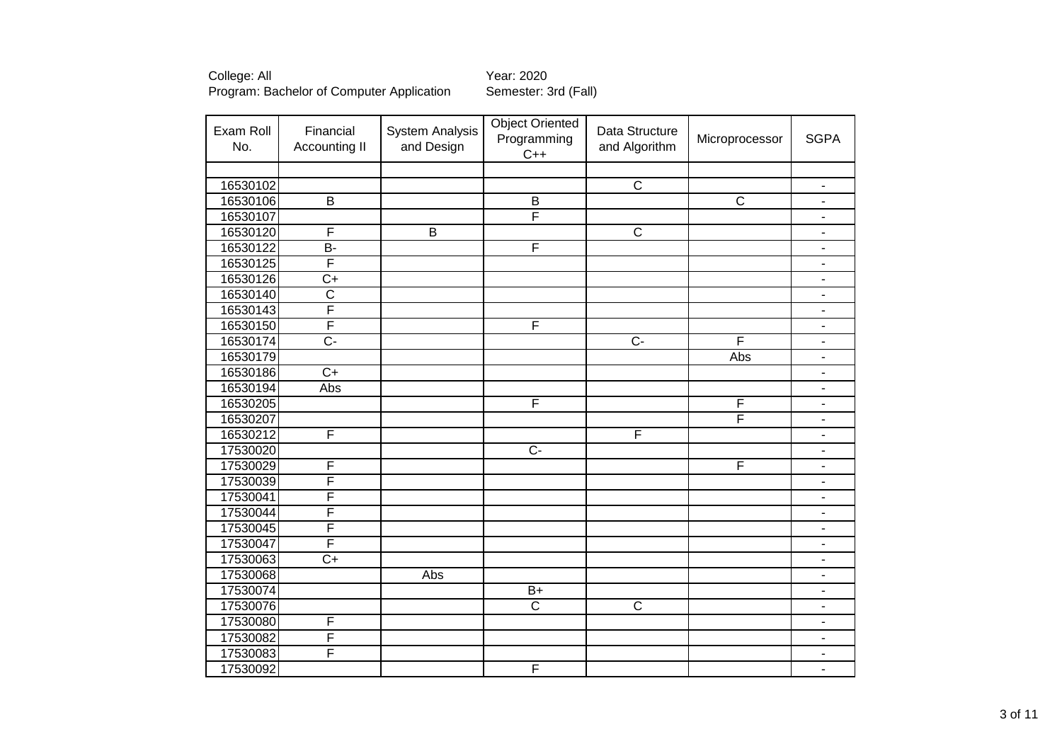| Exam Roll<br>No. | Financial<br><b>Accounting II</b> | <b>System Analysis</b><br>and Design | <b>Object Oriented</b><br>Programming<br>$C++$ | Data Structure<br>and Algorithm | Microprocessor        | <b>SGPA</b>              |
|------------------|-----------------------------------|--------------------------------------|------------------------------------------------|---------------------------------|-----------------------|--------------------------|
|                  |                                   |                                      |                                                |                                 |                       |                          |
| 16530102         |                                   |                                      |                                                | $\overline{\text{c}}$           |                       | $\overline{\phantom{a}}$ |
| 16530106         | $\sf B$                           |                                      | $\sf B$                                        |                                 | $\overline{\text{C}}$ | $\overline{\phantom{a}}$ |
| 16530107         |                                   |                                      | F                                              |                                 |                       | $\overline{\phantom{a}}$ |
| 16530120         | F                                 | $\overline{B}$                       |                                                | $\overline{\text{c}}$           |                       | $\overline{\phantom{0}}$ |
| 16530122         | $\overline{B}$                    |                                      | F                                              |                                 |                       | $\blacksquare$           |
| 16530125         | F                                 |                                      |                                                |                                 |                       | $\overline{\phantom{0}}$ |
| 16530126         | $\overline{C+}$                   |                                      |                                                |                                 |                       | ۰                        |
| 16530140         | $\overline{\text{c}}$             |                                      |                                                |                                 |                       | $\blacksquare$           |
| 16530143         | F                                 |                                      |                                                |                                 |                       | $\overline{\phantom{0}}$ |
| 16530150         | F                                 |                                      | F                                              |                                 |                       | ۰                        |
| 16530174         | $\overline{C}$ -                  |                                      |                                                | $\overline{C}$                  | F                     | $\overline{\phantom{0}}$ |
| 16530179         |                                   |                                      |                                                |                                 | Abs                   | $\blacksquare$           |
| 16530186         | $\overline{C+}$                   |                                      |                                                |                                 |                       | $\overline{\phantom{0}}$ |
| 16530194         | Abs                               |                                      |                                                |                                 |                       | $\blacksquare$           |
| 16530205         |                                   |                                      | F                                              |                                 | F                     | $\blacksquare$           |
| 16530207         |                                   |                                      |                                                |                                 | F                     | $\blacksquare$           |
| 16530212         | F                                 |                                      |                                                | F                               |                       | $\blacksquare$           |
| 17530020         |                                   |                                      | $\overline{C}$                                 |                                 |                       | ÷,                       |
| 17530029         | $\overline{F}$                    |                                      |                                                |                                 | F                     | $\overline{\phantom{0}}$ |
| 17530039         | F                                 |                                      |                                                |                                 |                       | $\overline{\phantom{a}}$ |
| 17530041         | F                                 |                                      |                                                |                                 |                       | $\overline{a}$           |
| 17530044         | F                                 |                                      |                                                |                                 |                       | ٠                        |
| 17530045         | F                                 |                                      |                                                |                                 |                       | ۰                        |
| 17530047         | $\overline{\mathsf{F}}$           |                                      |                                                |                                 |                       | $\overline{\phantom{0}}$ |
| 17530063         | $\overline{C+}$                   |                                      |                                                |                                 |                       | ٠                        |
| 17530068         |                                   | Abs                                  |                                                |                                 |                       | ۰                        |
| 17530074         |                                   |                                      | $B+$                                           |                                 |                       | $\overline{\phantom{a}}$ |
| 17530076         |                                   |                                      | $\overline{\text{c}}$                          | $\overline{\text{c}}$           |                       | $\overline{\phantom{a}}$ |
| 17530080         | F                                 |                                      |                                                |                                 |                       | $\overline{\phantom{a}}$ |
| 17530082         | $\overline{F}$                    |                                      |                                                |                                 |                       | ٠                        |
| 17530083         | $\overline{F}$                    |                                      |                                                |                                 |                       | -                        |
| 17530092         |                                   |                                      | F                                              |                                 |                       | $\blacksquare$           |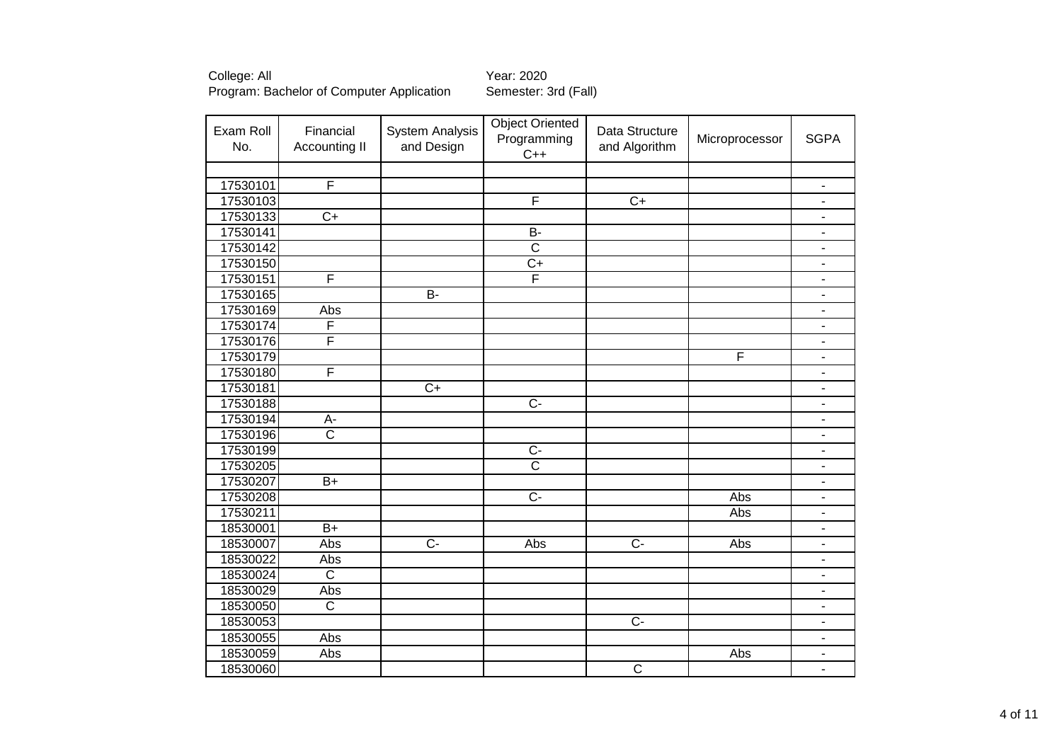| Exam Roll<br>No. | Financial<br>Accounting II | <b>System Analysis</b><br>and Design | <b>Object Oriented</b><br>Programming<br>$C++$ | Data Structure<br>and Algorithm | Microprocessor | <b>SGPA</b>              |
|------------------|----------------------------|--------------------------------------|------------------------------------------------|---------------------------------|----------------|--------------------------|
|                  |                            |                                      |                                                |                                 |                |                          |
| 17530101         | F                          |                                      |                                                |                                 |                | $\overline{\phantom{a}}$ |
| 17530103         |                            |                                      | F                                              | $\overline{C+}$                 |                | ۰                        |
| 17530133         | $\overline{C+}$            |                                      |                                                |                                 |                | $\blacksquare$           |
| 17530141         |                            |                                      | $\overline{B}$                                 |                                 |                | $\overline{\phantom{a}}$ |
| 17530142         |                            |                                      | $\overline{\text{c}}$                          |                                 |                | $\overline{\phantom{0}}$ |
| 17530150         |                            |                                      | $\overline{C+}$                                |                                 |                | $\overline{\phantom{0}}$ |
| 17530151         | F                          |                                      | F                                              |                                 |                | -                        |
| 17530165         |                            | $\overline{B}$                       |                                                |                                 |                | ۰                        |
| 17530169         | Abs                        |                                      |                                                |                                 |                | $\overline{\phantom{0}}$ |
| 17530174         | F                          |                                      |                                                |                                 |                | -                        |
| 17530176         | F                          |                                      |                                                |                                 |                | $\blacksquare$           |
| 17530179         |                            |                                      |                                                |                                 | F              | ۰                        |
| 17530180         | F                          |                                      |                                                |                                 |                | ۰                        |
| 17530181         |                            | $\overline{C+}$                      |                                                |                                 |                | ۰                        |
| 17530188         |                            |                                      | $\overline{C}$                                 |                                 |                | $\overline{\phantom{a}}$ |
| 17530194         | А-                         |                                      |                                                |                                 |                | $\blacksquare$           |
| 17530196         | $\overline{\text{c}}$      |                                      |                                                |                                 |                | ۰                        |
| 17530199         |                            |                                      | $\overline{C}$                                 |                                 |                | ۰                        |
| 17530205         |                            |                                      | $\overline{\mathsf{c}}$                        |                                 |                | $\overline{\phantom{a}}$ |
| 17530207         | $B+$                       |                                      |                                                |                                 |                | ٠                        |
| 17530208         |                            |                                      | $\overline{C}$                                 |                                 | Abs            | $\overline{\phantom{0}}$ |
| 17530211         |                            |                                      |                                                |                                 | Abs            | ۰                        |
| 18530001         | $\overline{B+}$            |                                      |                                                |                                 |                | $\overline{\phantom{a}}$ |
| 18530007         | Abs                        | $\overline{C}$                       | Abs                                            | $\overline{C}$                  | Abs            | $\overline{\phantom{a}}$ |
| 18530022         | Abs                        |                                      |                                                |                                 |                | -                        |
| 18530024         | $\overline{\text{c}}$      |                                      |                                                |                                 |                | $\overline{\phantom{0}}$ |
| 18530029         | Abs                        |                                      |                                                |                                 |                | ٠                        |
| 18530050         | $\overline{\text{c}}$      |                                      |                                                |                                 |                | $\overline{\phantom{0}}$ |
| 18530053         |                            |                                      |                                                | $\overline{C}$                  |                | $\overline{\phantom{0}}$ |
| 18530055         | Abs                        |                                      |                                                |                                 |                | $\overline{\phantom{0}}$ |
| 18530059         | Abs                        |                                      |                                                |                                 | Abs            | ۰                        |
| 18530060         |                            |                                      |                                                | $\overline{C}$                  |                | $\overline{\phantom{a}}$ |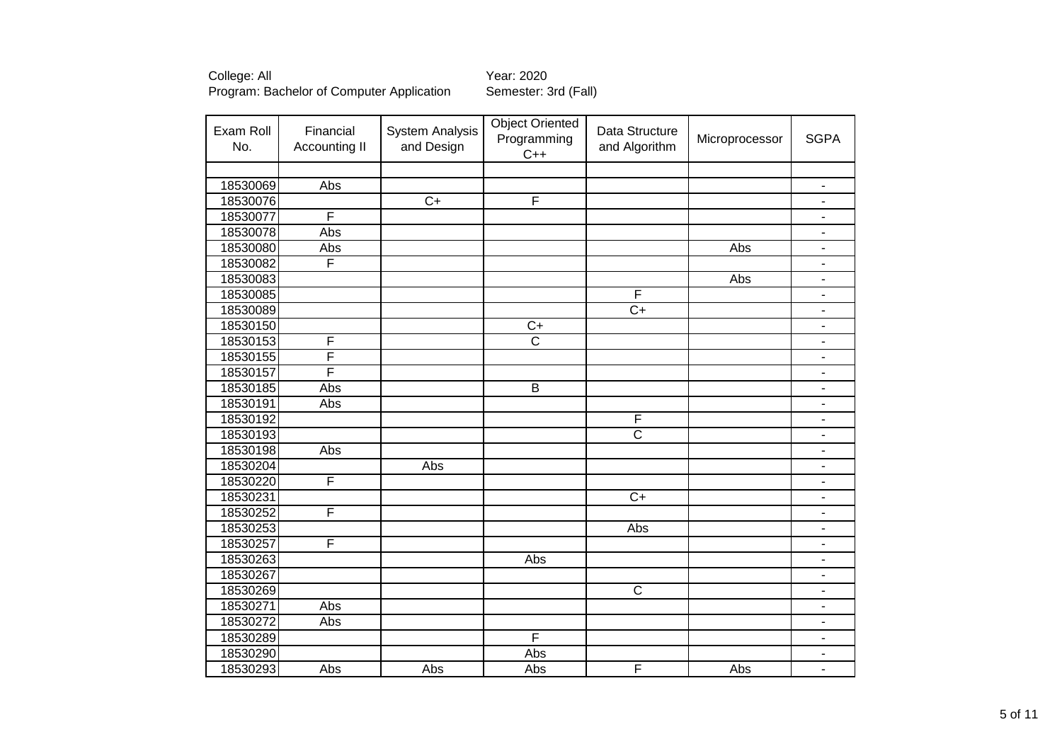| Exam Roll<br>No. | Financial<br>Accounting II | <b>System Analysis</b><br>and Design | <b>Object Oriented</b><br>Programming<br>$C++$ | Data Structure<br>and Algorithm | Microprocessor | <b>SGPA</b>                  |
|------------------|----------------------------|--------------------------------------|------------------------------------------------|---------------------------------|----------------|------------------------------|
|                  |                            |                                      |                                                |                                 |                |                              |
| 18530069         | Abs                        |                                      |                                                |                                 |                | $\blacksquare$               |
| 18530076         |                            | $C+$                                 | $\overline{F}$                                 |                                 |                |                              |
| 18530077         | F                          |                                      |                                                |                                 |                | $\overline{\phantom{a}}$     |
| 18530078         | Abs                        |                                      |                                                |                                 |                | $\overline{\phantom{m}}$     |
| 18530080         | Abs                        |                                      |                                                |                                 | Abs            | $\overline{\phantom{a}}$     |
| 18530082         | F                          |                                      |                                                |                                 |                | $\overline{\phantom{m}}$     |
| 18530083         |                            |                                      |                                                |                                 | Abs            | $\blacksquare$               |
| 18530085         |                            |                                      |                                                | F                               |                | $\blacksquare$               |
| 18530089         |                            |                                      |                                                | $\overline{C+}$                 |                | $\overline{\phantom{a}}$     |
| 18530150         |                            |                                      | $\overline{C+}$                                |                                 |                |                              |
| 18530153         | F                          |                                      | $\overline{\text{c}}$                          |                                 |                |                              |
| 18530155         | F                          |                                      |                                                |                                 |                |                              |
| 18530157         | F                          |                                      |                                                |                                 |                |                              |
| 18530185         | Abs                        |                                      | $\overline{B}$                                 |                                 |                | $\blacksquare$               |
| 18530191         | Abs                        |                                      |                                                |                                 |                | $\overline{\phantom{a}}$     |
| 18530192         |                            |                                      |                                                | F                               |                | ۰                            |
| 18530193         |                            |                                      |                                                | $\overline{\text{c}}$           |                | $\blacksquare$               |
| 18530198         | Abs                        |                                      |                                                |                                 |                | $\overline{\phantom{a}}$     |
| 18530204         |                            | Abs                                  |                                                |                                 |                | $\overline{\phantom{a}}$     |
| 18530220         | F                          |                                      |                                                |                                 |                |                              |
| 18530231         |                            |                                      |                                                | $\overline{C+}$                 |                |                              |
| 18530252         | F                          |                                      |                                                |                                 |                |                              |
| 18530253         |                            |                                      |                                                | Abs                             |                |                              |
| 18530257         | F                          |                                      |                                                |                                 |                |                              |
| 18530263         |                            |                                      | Abs                                            |                                 |                | $\blacksquare$               |
| 18530267         |                            |                                      |                                                |                                 |                | ÷,                           |
| 18530269         |                            |                                      |                                                | $\overline{C}$                  |                | $\overline{\phantom{a}}$     |
| 18530271         | Abs                        |                                      |                                                |                                 |                | $\qquad \qquad \blacksquare$ |
| 18530272         | Abs                        |                                      |                                                |                                 |                | $\overline{\phantom{a}}$     |
| 18530289         |                            |                                      | F                                              |                                 |                | $\blacksquare$               |
| 18530290         |                            |                                      | Abs                                            |                                 |                | ۰                            |
| 18530293         | Abs                        | Abs                                  | Abs                                            | F                               | Abs            |                              |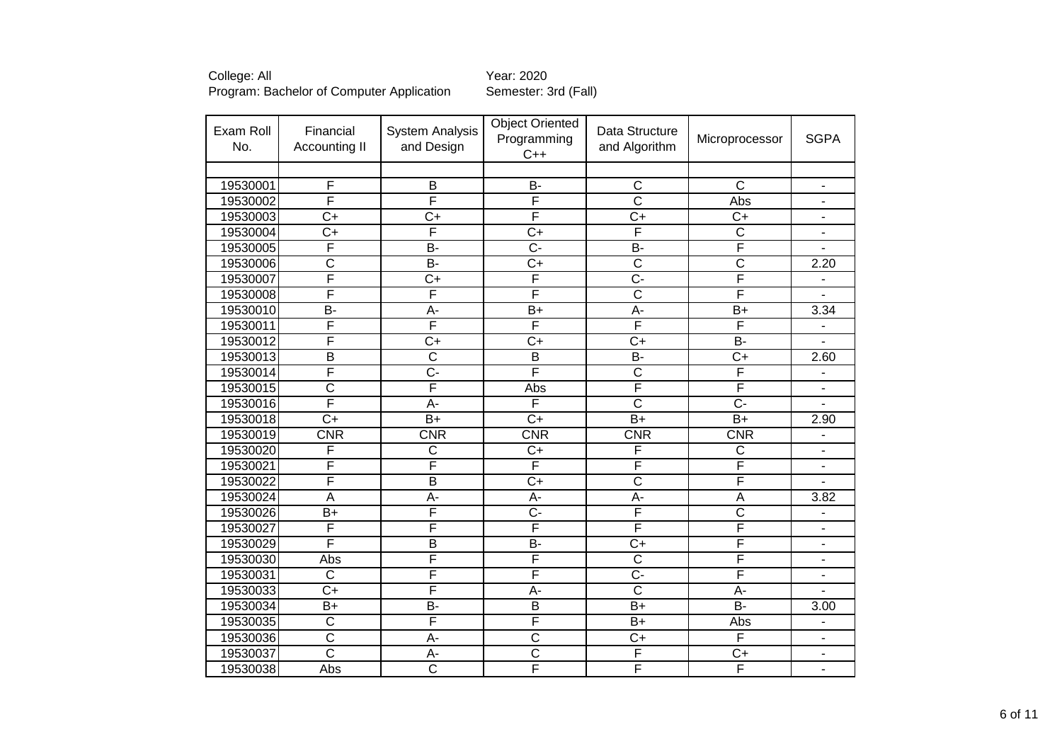| College: All                              |  |
|-------------------------------------------|--|
| Program: Bachelor of Computer Application |  |

Year: 2020<br>Semester: 3rd (Fall)

| Exam Roll<br>No. | Financial<br><b>Accounting II</b> | <b>System Analysis</b><br>and Design | <b>Object Oriented</b><br>Programming<br>$C++$ | Data Structure<br>and Algorithm | Microprocessor        | <b>SGPA</b>              |
|------------------|-----------------------------------|--------------------------------------|------------------------------------------------|---------------------------------|-----------------------|--------------------------|
|                  |                                   |                                      |                                                |                                 |                       |                          |
| 19530001         | F                                 | B                                    | <b>B-</b>                                      | $\mathsf C$                     | C                     | $\overline{\phantom{0}}$ |
| 19530002         | F                                 | F                                    | F                                              | $\overline{\text{c}}$           | Abs                   | ۰                        |
| 19530003         | $\overline{C+}$                   | $\overline{C+}$                      | F                                              | $\overline{C+}$                 | $\overline{C+}$       | $\overline{\phantom{a}}$ |
| 19530004         | $\overline{C}$                    | F                                    | $\overline{C+}$                                | F                               | $\overline{\text{c}}$ | $\overline{\phantom{0}}$ |
| 19530005         | F                                 | $\overline{B}$                       | $\overline{C}$ -                               | $\overline{B}$                  | F                     | ÷.                       |
| 19530006         | $\overline{\text{c}}$             | $\overline{B}$                       | $\overline{C}$                                 | $\overline{\text{c}}$           | $\overline{\text{c}}$ | 2.20                     |
| 19530007         | F                                 | $\overline{C}$                       | F                                              | $\overline{C}$ -                | F                     |                          |
| 19530008         | F                                 | F                                    | F                                              | $\overline{\text{c}}$           | F                     | ÷.                       |
| 19530010         | $\overline{B}$                    | $\overline{A}$ -                     | $\overline{B+}$                                | $\overline{A}$ -                | $\overline{B+}$       | 3.34                     |
| 19530011         | F                                 | F                                    | F                                              | F                               | F                     |                          |
| 19530012         | F                                 | $\overline{C}$                       | $\overline{C}$                                 | $\overline{C+}$                 | $\overline{B}$        |                          |
| 19530013         | $\overline{\mathsf{B}}$           | $\overline{\text{c}}$                | B                                              | $\overline{B}$                  | $\overline{C+}$       | 2.60                     |
| 19530014         | F                                 | $\overline{C}$                       | F                                              | $\overline{\text{c}}$           | F                     |                          |
| 19530015         | $\overline{\text{c}}$             | F                                    | Abs                                            | F                               | F                     | ۰                        |
| 19530016         | F                                 | $\overline{A}$ -                     | F                                              | $\overline{\text{c}}$           | $\overline{C}$ -      | $\overline{\phantom{0}}$ |
| 19530018         | $\overline{C+}$                   | $\overline{B+}$                      | $\overline{C+}$                                | $\overline{B+}$                 | $\overline{B+}$       | 2.90                     |
| 19530019         | CNR                               | CNR                                  | CNR                                            | CNR                             | CNR                   | $\blacksquare$           |
| 19530020         | F                                 | C                                    | $C+$                                           | F                               | C                     | $\overline{\phantom{a}}$ |
| 19530021         | F                                 | F                                    | F                                              | F                               | F                     | $\overline{\phantom{a}}$ |
| 19530022         | F                                 | B                                    | $C+$                                           | C                               | F                     |                          |
| 19530024         | A                                 | A-                                   | A-                                             | A-                              | A                     | 3.82                     |
| 19530026         | $\overline{B+}$                   | F                                    | $\overline{C}$                                 | $\overline{\mathsf{F}}$         | $\overline{\text{c}}$ |                          |
| 19530027         | F                                 | F                                    | $\overline{\mathsf{F}}$                        | F                               | F                     |                          |
| 19530029         | F                                 | $\overline{\mathsf{B}}$              | $\overline{B}$                                 | $\overline{C+}$                 | F                     |                          |
| 19530030         | Abs                               | F                                    | F                                              | $\overline{C}$                  | F                     | ۰                        |
| 19530031         | $\overline{\text{c}}$             | F                                    | F                                              | $\overline{C}$ -                | F                     |                          |
| 19530033         | $C+$                              | F                                    | A-                                             | $\overline{\text{c}}$           | A-                    |                          |
| 19530034         | $\overline{B+}$                   | $\overline{B}$                       | $\overline{B}$                                 | $\overline{B+}$                 | $\overline{B}$        | 3.00                     |
| 19530035         | $\overline{\text{c}}$             | F                                    | F                                              | $B+$                            | Abs                   | $\overline{\phantom{m}}$ |
| 19530036         | $\overline{\text{c}}$             | A-                                   | $\overline{\text{c}}$                          | $\overline{C}$                  | F                     | $\overline{\phantom{0}}$ |
| 19530037         | $\overline{\text{c}}$             | A-                                   | $\overline{\text{c}}$                          | F                               | $C+$                  | $\overline{\phantom{a}}$ |
| 19530038         | Abs                               | $\overline{\text{c}}$                | F                                              | F                               | F                     | $\blacksquare$           |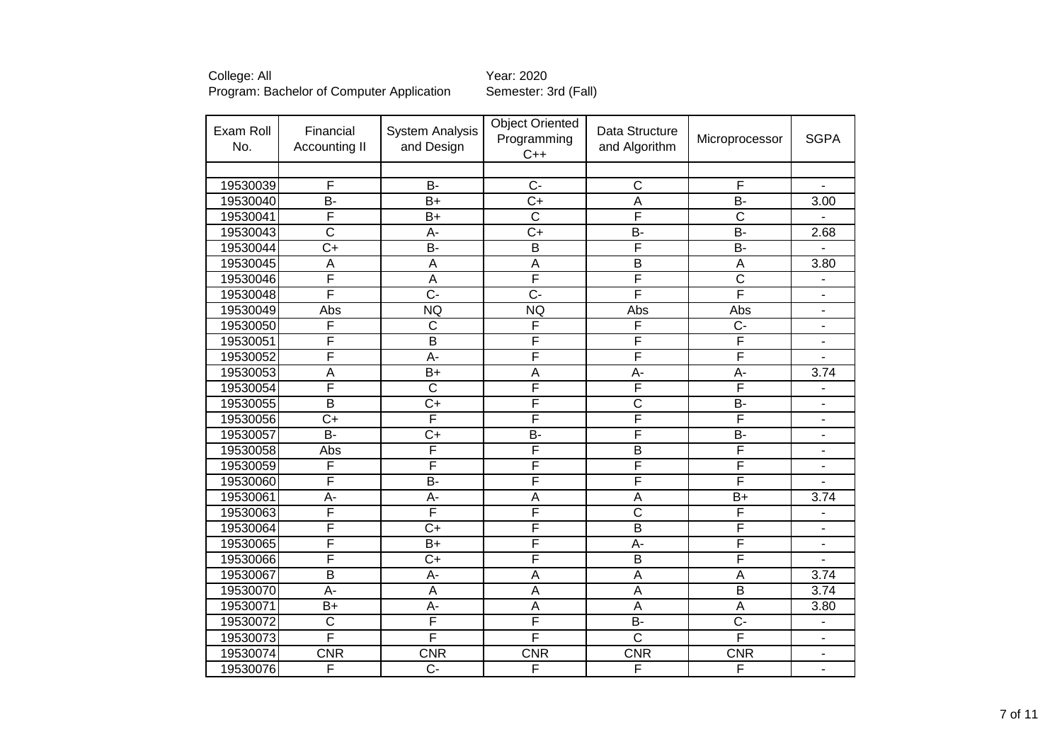| College: All                              | Year: 2020           |
|-------------------------------------------|----------------------|
| Program: Bachelor of Computer Application | Semester: 3rd (Fall) |

| Exam Roll<br>No. | Financial<br>Accounting II | <b>System Analysis</b><br>and Design | <b>Object Oriented</b><br>Programming<br>$C++$ | Data Structure<br>and Algorithm | Microprocessor          | <b>SGPA</b>              |
|------------------|----------------------------|--------------------------------------|------------------------------------------------|---------------------------------|-------------------------|--------------------------|
|                  |                            |                                      |                                                |                                 |                         |                          |
| 19530039         | F                          | <b>B-</b>                            | $\overline{C}$                                 | $\overline{C}$                  | F                       |                          |
| 19530040         | B-                         | $B+$                                 | $\overline{C}$                                 | $\overline{A}$                  | <b>B-</b>               | 3.00                     |
| 19530041         | F                          | $\overline{B+}$                      | $\overline{C}$                                 | F                               | $\overline{\mathsf{C}}$ |                          |
| 19530043         | $\overline{\text{c}}$      | $\overline{A}$ -                     | $\overline{C+}$                                | $\overline{B}$                  | $B -$                   | 2.68                     |
| 19530044         | $\overline{C+}$            | $B -$                                | $\overline{B}$                                 | F                               | B-                      |                          |
| 19530045         | A                          | A                                    | $\overline{A}$                                 | $\overline{\mathsf{B}}$         | A                       | 3.80                     |
| 19530046         | F                          | $\overline{A}$                       | F                                              | F                               | $\overline{\text{c}}$   | $\blacksquare$           |
| 19530048         | F                          | $\overline{C}$ -                     | $\overline{C}$ -                               | F                               | F                       | $\overline{\phantom{a}}$ |
| 19530049         | Abs                        | <b>NQ</b>                            | <b>NQ</b>                                      | Abs                             | Abs                     | $\blacksquare$           |
| 19530050         | F                          | $\overline{\text{c}}$                | F                                              | F                               | $\overline{C}$          | $\blacksquare$           |
| 19530051         | F                          | $\overline{\mathsf{B}}$              | F                                              | F                               | F                       | $\blacksquare$           |
| 19530052         | F                          | $\overline{A}$ -                     | F                                              | F                               | F                       |                          |
| 19530053         | A                          | $\overline{B+}$                      | A                                              | A-                              | A-                      | 3.74                     |
| 19530054         | F                          | $\overline{\text{c}}$                | F                                              | F                               | F                       |                          |
| 19530055         | $\overline{\mathsf{B}}$    | $\overline{C+}$                      | F                                              | $\overline{\text{c}}$           | B-                      |                          |
| 19530056         | $\overline{C+}$            | F                                    | F                                              | F                               | F                       | $\blacksquare$           |
| 19530057         | $\overline{B}$             | $\overline{C}$                       | $\overline{B}$                                 | F                               | $\overline{B}$          | $\blacksquare$           |
| 19530058         | Abs                        | F                                    | F                                              | $\overline{B}$                  | $\overline{\mathsf{F}}$ | $\blacksquare$           |
| 19530059         | F                          | F                                    | F                                              | F                               | F                       | $\overline{\phantom{a}}$ |
| 19530060         | F                          | $\overline{B}$                       | F                                              | F                               | F                       | $\overline{\phantom{a}}$ |
| 19530061         | $A -$                      | A-                                   | A                                              | A                               | $B+$                    | 3.74                     |
| 19530063         | F                          | F                                    | F                                              | $\overline{\text{c}}$           | F                       | $\overline{\phantom{a}}$ |
| 19530064         | F                          | $\overline{C}$                       | F                                              | $\overline{B}$                  | F                       | $\overline{\phantom{a}}$ |
| 19530065         | F                          | $B+$                                 | F                                              | A-                              | F                       |                          |
| 19530066         | F                          | $\overline{C}$                       | F                                              | $\overline{B}$                  | F                       |                          |
| 19530067         | $\overline{B}$             | A-                                   | A                                              | $\overline{A}$                  | $\overline{A}$          | 3.74                     |
| 19530070         | A-                         | A                                    | A                                              | $\overline{A}$                  | $\overline{B}$          | 3.74                     |
| 19530071         | $B+$                       | A-                                   | A                                              | $\overline{A}$                  | $\overline{A}$          | 3.80                     |
| 19530072         | $\overline{\text{C}}$      | F                                    | F                                              | $\overline{B}$                  | $\overline{C}$ -        |                          |
| 19530073         | F                          | F                                    | F                                              | $\overline{\text{c}}$           | F                       | $\blacksquare$           |
| 19530074         | <b>CNR</b>                 | <b>CNR</b>                           | <b>CNR</b>                                     | <b>CNR</b>                      | <b>CNR</b>              | $\overline{\phantom{a}}$ |
| 19530076         | F                          | $\overline{C}$                       | F                                              | F                               | F                       | $\blacksquare$           |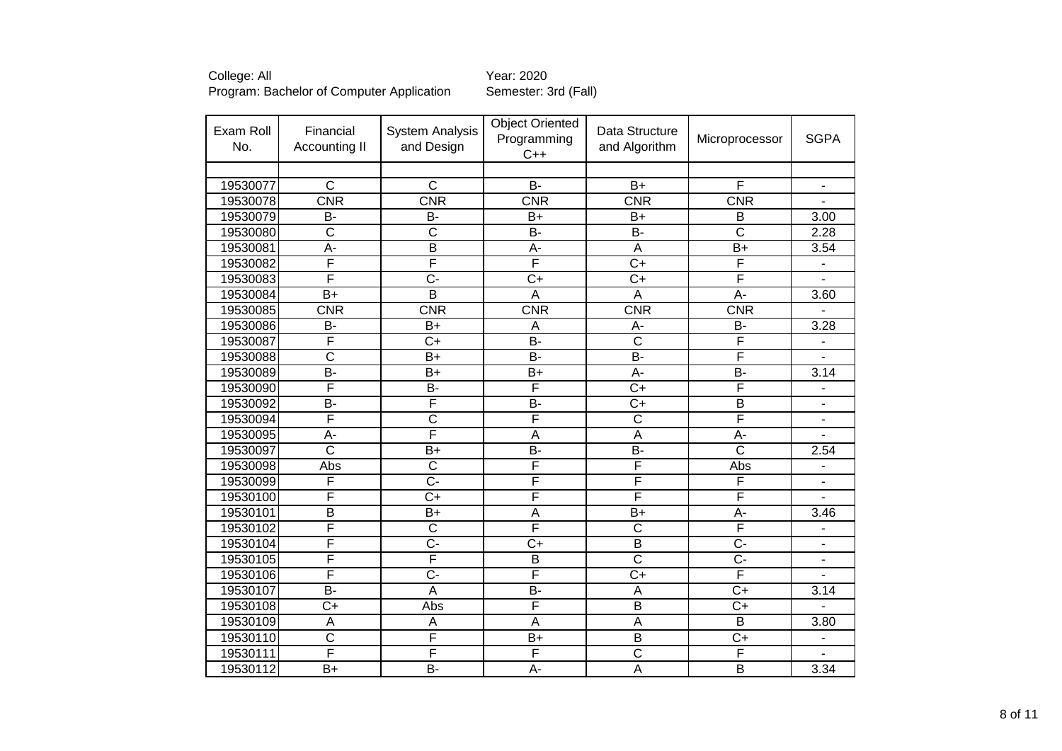| Exam Roll<br>No. | Financial<br>Accounting II | <b>System Analysis</b><br>and Design | <b>Object Oriented</b><br>Programming<br>$C++$ | Data Structure<br>and Algorithm | Microprocessor          | <b>SGPA</b>                  |
|------------------|----------------------------|--------------------------------------|------------------------------------------------|---------------------------------|-------------------------|------------------------------|
|                  |                            |                                      |                                                |                                 |                         |                              |
| 19530077         | $\overline{\text{c}}$      | $\overline{C}$                       | $\overline{B}$                                 | $B+$                            | F                       | $\qquad \qquad \blacksquare$ |
| 19530078         | CNR                        | CNR                                  | <b>CNR</b>                                     | <b>CNR</b>                      | CNR                     | ÷,                           |
| 19530079         | <b>B-</b>                  | <b>B-</b>                            | $B+$                                           | $B+$                            | B                       | 3.00                         |
| 19530080         | $\overline{C}$             | $\overline{\mathsf{C}}$              | $\overline{B}$                                 | $\overline{B}$                  | $\overline{\text{c}}$   | 2.28                         |
| 19530081         | $\overline{A}$ -           | $\overline{\mathsf{B}}$              | $\overline{A}$ -                               | $\overline{\mathsf{A}}$         | $\overline{B}$          | 3.54                         |
| 19530082         | F                          | F                                    | F                                              | $\overline{C+}$                 | F                       | $\overline{\phantom{a}}$     |
| 19530083         | F                          | $\overline{C}$ -                     | $\overline{C+}$                                | $\overline{C+}$                 | F                       |                              |
| 19530084         | $\overline{B+}$            | $\overline{\mathsf{B}}$              | $\overline{A}$                                 | $\overline{A}$                  | A-                      | 3.60                         |
| 19530085         | CNR                        | CNR                                  | CNR                                            | CNR                             | CNR                     |                              |
| 19530086         | B-                         | $\overline{B}$                       | A                                              | $\overline{A}$ -                | B-                      | 3.28                         |
| 19530087         | F                          | $\overline{C+}$                      | $\overline{B}$                                 | $\overline{\text{c}}$           | F                       |                              |
| 19530088         | $\overline{\text{c}}$      | $\overline{B+}$                      | $\overline{B}$                                 | $B -$                           | F                       |                              |
| 19530089         | $B -$                      | $\overline{B+}$                      | $\overline{B+}$                                | $A -$                           | $B -$                   | 3.14                         |
| 19530090         | F                          | $\overline{B}$ -                     | F                                              | $\overline{C+}$                 | F                       | $\overline{\phantom{m}}$     |
| 19530092         | $\overline{B}$             | F                                    | $\overline{B}$                                 | $\overline{C}$                  | $\overline{\mathsf{B}}$ | $\qquad \qquad \blacksquare$ |
| 19530094         | F                          | $\overline{\text{c}}$                | F                                              | $\overline{\text{c}}$           | F                       | $\overline{\phantom{a}}$     |
| 19530095         | $\overline{A}$ -           | F                                    | $\overline{A}$                                 | $\overline{A}$                  | $\overline{A}$ -        | L.                           |
| 19530097         | $\overline{\text{c}}$      | $B+$                                 | <b>B-</b>                                      | <b>B-</b>                       | $\overline{\text{c}}$   | 2.54                         |
| 19530098         | Abs                        | $\overline{\text{c}}$                | F                                              | F                               | Abs                     | $\blacksquare$               |
| 19530099         | F                          | $\overline{C}$                       | F                                              | F                               | F                       | $\overline{a}$               |
| 19530100         | F                          | $\overline{C}$                       | F                                              | F                               | F                       |                              |
| 19530101         | $\overline{B}$             | $B+$                                 | $\overline{A}$                                 | $B+$                            | A-                      | 3.46                         |
| 19530102         | F                          | $\overline{\text{c}}$                | F                                              | $\overline{\text{c}}$           | F                       |                              |
| 19530104         | F                          | $\overline{C}$                       | $\overline{C+}$                                | $\overline{B}$                  | $\overline{C}$          | $\blacksquare$               |
| 19530105         | F                          | F                                    | B                                              | $\overline{\text{c}}$           | $\overline{C}$          | $\blacksquare$               |
| 19530106         | F                          | $\overline{C}$ -                     | F                                              | $\overline{C+}$                 | F                       | $\blacksquare$               |
| 19530107         | <b>B-</b>                  | $\overline{A}$                       | <b>B-</b>                                      | A                               | $\overline{C+}$         | 3.14                         |
| 19530108         | $C+$                       | Abs                                  | F                                              | $\overline{B}$                  | $C+$                    | $\blacksquare$               |
| 19530109         | A                          | $\overline{A}$                       | A                                              | A                               | B                       | 3.80                         |
| 19530110         | $\overline{\text{c}}$      | F                                    | $B+$                                           | B                               | $C+$                    | $\overline{\phantom{a}}$     |
| 19530111         | F                          | F                                    | $\overline{F}$                                 | $\overline{\text{c}}$           | F                       | $\blacksquare$               |
| 19530112         | $B+$                       | <b>B-</b>                            | A-                                             | A                               | $\overline{\mathsf{B}}$ | 3.34                         |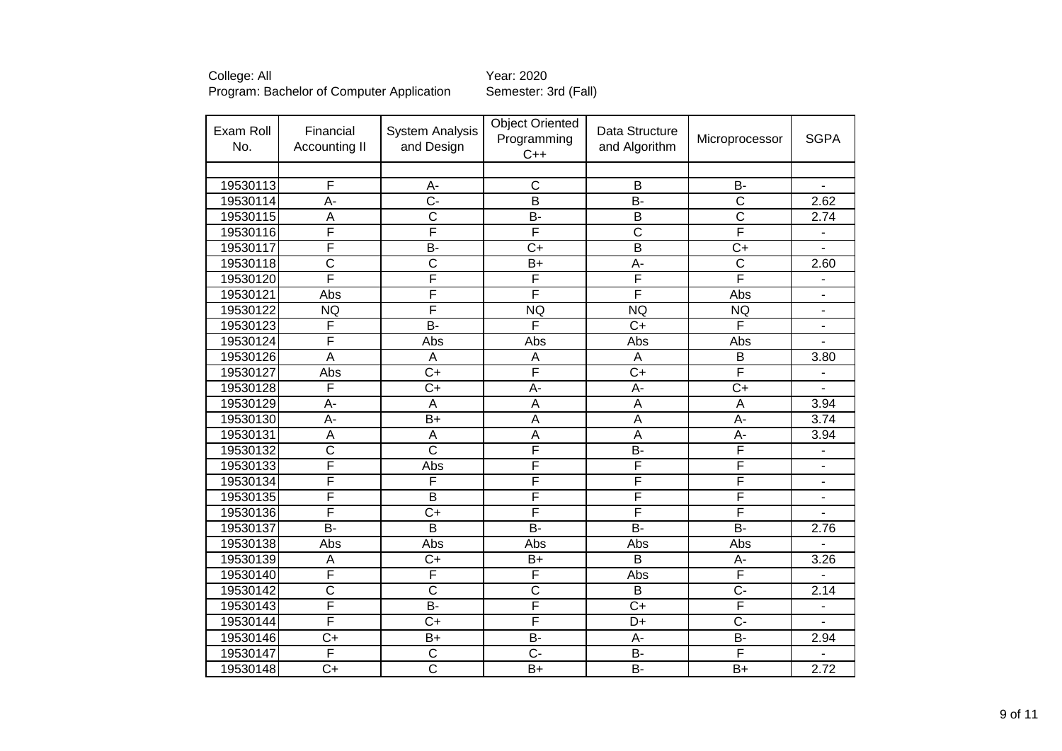| Exam Roll<br>No. | Financial<br>Accounting II | <b>System Analysis</b><br>and Design | <b>Object Oriented</b><br>Programming<br>$C++$ | Data Structure<br>and Algorithm | Microprocessor        | <b>SGPA</b>              |
|------------------|----------------------------|--------------------------------------|------------------------------------------------|---------------------------------|-----------------------|--------------------------|
|                  |                            |                                      |                                                |                                 |                       |                          |
| 19530113         | F                          | A-                                   | $\overline{\text{c}}$                          | $\overline{B}$                  | $B -$                 |                          |
| 19530114         | A-                         | $\overline{C}$                       | $\overline{\mathsf{B}}$                        | $\overline{B}$                  | $\overline{\text{c}}$ | 2.62                     |
| 19530115         | A                          | $\overline{\text{c}}$                | $\overline{B}$                                 | $\overline{B}$                  | $\overline{\text{c}}$ | 2.74                     |
| 19530116         | F                          | F                                    | F                                              | $\overline{\text{c}}$           | F                     | $\overline{\phantom{a}}$ |
| 19530117         | F                          | $\overline{B}$                       | $\overline{C}$                                 | $\overline{B}$                  | $\overline{C+}$       | $\overline{\phantom{a}}$ |
| 19530118         | $\overline{\text{c}}$      | $\overline{\text{c}}$                | $\overline{B+}$                                | A-                              | $\overline{\text{c}}$ | 2.60                     |
| 19530120         | F                          | F                                    | F                                              | F                               | F                     | $\blacksquare$           |
| 19530121         | Abs                        | F                                    | F                                              | F                               | Abs                   | $\blacksquare$           |
| 19530122         | <b>NQ</b>                  | F                                    | <b>NQ</b>                                      | NQ                              | <b>NQ</b>             | $\blacksquare$           |
| 19530123         | F                          | $\overline{B}$                       | F                                              | $\overline{C+}$                 | F                     | $\blacksquare$           |
| 19530124         | F                          | Abs                                  | Abs                                            | Abs                             | Abs                   |                          |
| 19530126         | $\overline{\mathsf{A}}$    | A                                    | A                                              | A                               | $\overline{B}$        | 3.80                     |
| 19530127         | Abs                        | $\overline{C+}$                      | F                                              | $\overline{C+}$                 | F                     |                          |
| 19530128         | F                          | $\overline{C+}$                      | $A -$                                          | A-                              | $\overline{C}$        |                          |
| 19530129         | $\overline{A}$ -           | A                                    | $\overline{A}$                                 | $\overline{A}$                  | $\overline{A}$        | 3.94                     |
| 19530130         | А-                         | $\overline{B+}$                      | $\overline{A}$                                 | $\overline{A}$                  | A-                    | 3.74                     |
| 19530131         | A                          | A                                    | A                                              | A                               | A-                    | 3.94                     |
| 19530132         | $\overline{\text{c}}$      | $\overline{\text{c}}$                | F                                              | $\overline{B}$                  | F                     | $\overline{\phantom{a}}$ |
| 19530133         | F                          | Abs                                  | F                                              | F                               | F                     | $\overline{\phantom{a}}$ |
| 19530134         | F                          | F                                    | F                                              | F                               | F                     | $\overline{\phantom{a}}$ |
| 19530135         | F                          | B                                    | F                                              | F                               | F                     | $\blacksquare$           |
| 19530136         | F                          | $\overline{C+}$                      | F                                              | F                               | F                     |                          |
| 19530137         | $\overline{B}$             | $\overline{\mathsf{B}}$              | $\overline{B}$                                 | $\overline{B}$                  | $\overline{B}$        | 2.76                     |
| 19530138         | Abs                        | Abs                                  | Abs                                            | Abs                             | Abs                   |                          |
| 19530139         | A                          | $C+$                                 | $B+$                                           | B                               | A-                    | 3.26                     |
| 19530140         | F                          | F                                    | F                                              | Abs                             | F                     |                          |
| 19530142         | $\overline{\text{c}}$      | $\overline{\text{c}}$                | $\overline{\text{c}}$                          | B                               | $\overline{C}$        | 2.14                     |
| 19530143         | F                          | $\overline{B}$                       | F                                              | $\overline{C}$                  | F                     |                          |
| 19530144         | F                          | $C+$                                 | $\overline{\mathsf{F}}$                        | D+                              | $\overline{C}$        | $\sim$                   |
| 19530146         | $\overline{C+}$            | $B+$                                 | $B -$                                          | A-                              | <b>B-</b>             | 2.94                     |
| 19530147         | F                          | $\overline{\mathrm{C}}$              | $\overline{C}$                                 | B-                              | F                     |                          |
| 19530148         | $C+$                       | $\overline{\text{c}}$                | $B+$                                           | B-                              | $B+$                  | 2.72                     |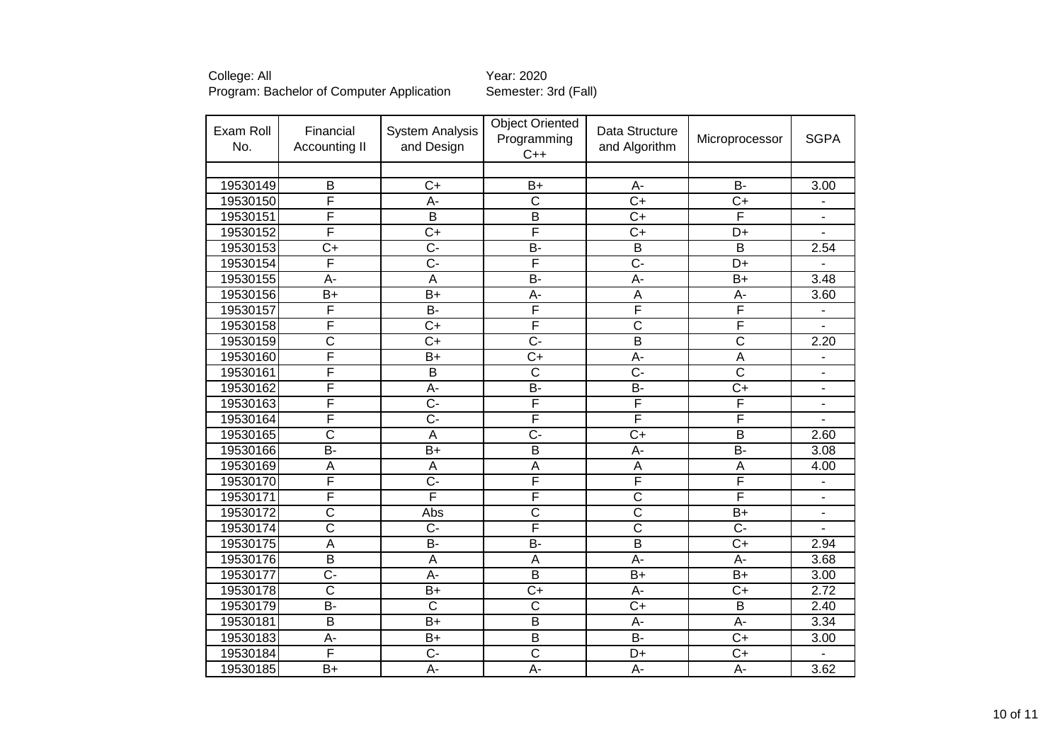| College: All                              | Year: 2020           |
|-------------------------------------------|----------------------|
| Program: Bachelor of Computer Application | Semester: 3rd (Fall) |

## Year: 2020

| Exam Roll<br>No. | Financial<br><b>Accounting II</b> | <b>System Analysis</b><br>and Design | <b>Object Oriented</b><br>Programming<br>$C++$ | Data Structure<br>and Algorithm | Microprocessor          | <b>SGPA</b>              |
|------------------|-----------------------------------|--------------------------------------|------------------------------------------------|---------------------------------|-------------------------|--------------------------|
|                  |                                   |                                      |                                                |                                 |                         |                          |
| 19530149         | B                                 | $C+$                                 | $B+$                                           | A-                              | <b>B-</b>               | 3.00                     |
| 19530150         | F                                 | $A -$                                | $\mathsf C$                                    | $C+$                            | $C+$                    | ۰                        |
| 19530151         | F                                 | $\overline{B}$                       | $\overline{B}$                                 | $\overline{C+}$                 | F                       | $\overline{\phantom{0}}$ |
| 19530152         | F                                 | $\overline{C+}$                      | F                                              | $\overline{C+}$                 | $\overline{D+}$         | $\blacksquare$           |
| 19530153         | $\overline{C}$                    | $\overline{C}$                       | B-                                             | $\overline{B}$                  | $\overline{\mathsf{B}}$ | 2.54                     |
| 19530154         | F                                 | $\overline{C}$                       | F                                              | $\overline{C}$                  | $\overline{D+}$         |                          |
| 19530155         | $\overline{A}$ -                  | $\overline{A}$                       | B-                                             | $\overline{A}$ -                | $\overline{B+}$         | 3.48                     |
| 19530156         | $\overline{B+}$                   | $\overline{B+}$                      | $\overline{A}$ -                               | $\overline{A}$                  | А-                      | 3.60                     |
| 19530157         | F                                 | $\overline{B}$                       | F                                              | F                               | F                       |                          |
| 19530158         | F                                 | $\overline{C+}$                      | F                                              | $\overline{\text{c}}$           | F                       |                          |
| 19530159         | $\overline{\text{c}}$             | $\overline{C+}$                      | $\overline{C}$ -                               | $\overline{\mathsf{B}}$         | $\overline{\text{c}}$   | 2.20                     |
| 19530160         | F                                 | $\overline{B+}$                      | $\overline{C+}$                                | $\overline{A}$                  | $\overline{A}$          |                          |
| 19530161         | F                                 | $\overline{\mathsf{B}}$              | $\overline{\text{c}}$                          | $\overline{C}$                  | $\overline{\text{c}}$   | $\overline{\phantom{a}}$ |
| 19530162         | F                                 | $\overline{A}$ -                     | $\overline{B}$                                 | $\overline{B}$                  | $\overline{C+}$         | $\blacksquare$           |
| 19530163         | F                                 | $\overline{C}$ -                     | F                                              | F                               | F                       | $\blacksquare$           |
| 19530164         | F                                 | $\overline{C}$ -                     | F                                              | F                               | F                       | $\overline{\phantom{a}}$ |
| 19530165         | $\overline{\text{c}}$             | A                                    | $\overline{C}$ -                               | $\overline{C+}$                 | $\overline{\mathsf{B}}$ | 2.60                     |
| 19530166         | $\overline{B}$                    | $B+$                                 | $\overline{B}$                                 | $A -$                           | $\overline{B}$          | 3.08                     |
| 19530169         | A                                 | A                                    | A                                              | A                               | A                       | 4.00                     |
| 19530170         | F                                 | $\overline{C}$                       | F                                              | F                               | F                       |                          |
| 19530171         | F                                 | F                                    | F                                              | $\overline{\text{c}}$           | F                       | $\blacksquare$           |
| 19530172         | $\overline{\text{c}}$             | Abs                                  | $\overline{\text{c}}$                          | $\overline{\text{c}}$           | $\overline{B+}$         | $\blacksquare$           |
| 19530174         | $\overline{\text{c}}$             | $\overline{C}$                       | F                                              | $\overline{\mathsf{c}}$         | $\overline{C}$          |                          |
| 19530175         | $\overline{A}$                    | <b>B-</b>                            | B-                                             | $\overline{B}$                  | $\overline{C}$          | 2.94                     |
| 19530176         | $\overline{B}$                    | $\overline{A}$                       | $\overline{A}$                                 | $\overline{A}$ -                | $\overline{A}$ -        | 3.68                     |
| 19530177         | $\overline{C}$                    | A-                                   | B                                              | $B+$                            | $B+$                    | 3.00                     |
| 19530178         | $\overline{\text{c}}$             | $B+$                                 | $\overline{C+}$                                | A-                              | $C+$                    | 2.72                     |
| 19530179         | $\overline{B}$                    | $\overline{\text{c}}$                | $\overline{\text{c}}$                          | $\overline{C}$                  | $\overline{B}$          | 2.40                     |
| 19530181         | $\overline{B}$                    | $B+$                                 | $\overline{B}$                                 | A-                              | A-                      | 3.34                     |
| 19530183         | A-                                | $B+$                                 | $\overline{B}$                                 | $\overline{B}$                  | $\overline{C}$          | 3.00                     |
| 19530184         | F                                 | $\overline{C}$                       | $\overline{\text{c}}$                          | D+                              | $C+$                    |                          |
| 19530185         | $B+$                              | $\overline{A}$                       | $\overline{A}$                                 | A-                              | А-                      | 3.62                     |